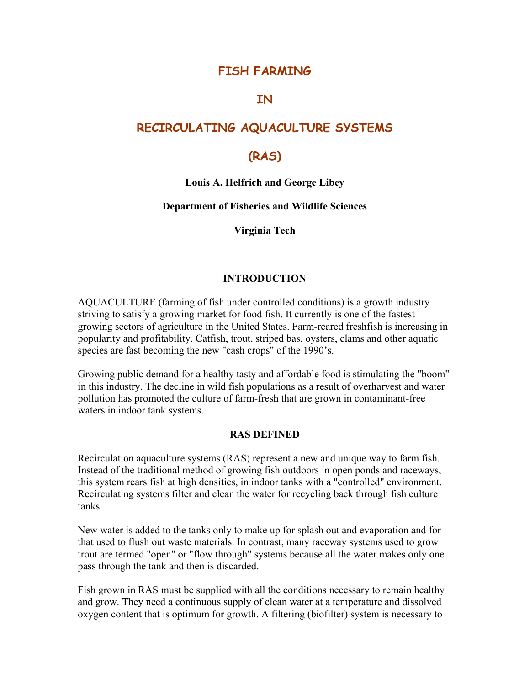# **FISH FARMING**

# **IN**

# **RECIRCULATING AQUACULTURE SYSTEMS**

# **(RAS)**

#### **Louis A. Helfrich and George Libey**

#### **Department of Fisheries and Wildlife Sciences**

#### **Virginia Tech**

#### **INTRODUCTION**

AQUACULTURE (farming of fish under controlled conditions) is a growth industry striving to satisfy a growing market for food fish. It currently is one of the fastest growing sectors of agriculture in the United States. Farm-reared freshfish is increasing in popularity and profitability. Catfish, trout, striped bas, oysters, clams and other aquatic species are fast becoming the new "cash crops" of the 1990's.

Growing public demand for a healthy tasty and affordable food is stimulating the "boom" in this industry. The decline in wild fish populations as a result of overharvest and water pollution has promoted the culture of farm-fresh that are grown in contaminant-free waters in indoor tank systems.

#### **RAS DEFINED**

Recirculation aquaculture systems (RAS) represent a new and unique way to farm fish. Instead of the traditional method of growing fish outdoors in open ponds and raceways, this system rears fish at high densities, in indoor tanks with a "controlled" environment. Recirculating systems filter and clean the water for recycling back through fish culture tanks.

New water is added to the tanks only to make up for splash out and evaporation and for that used to flush out waste materials. In contrast, many raceway systems used to grow trout are termed "open" or "flow through" systems because all the water makes only one pass through the tank and then is discarded.

Fish grown in RAS must be supplied with all the conditions necessary to remain healthy and grow. They need a continuous supply of clean water at a temperature and dissolved oxygen content that is optimum for growth. A filtering (biofilter) system is necessary to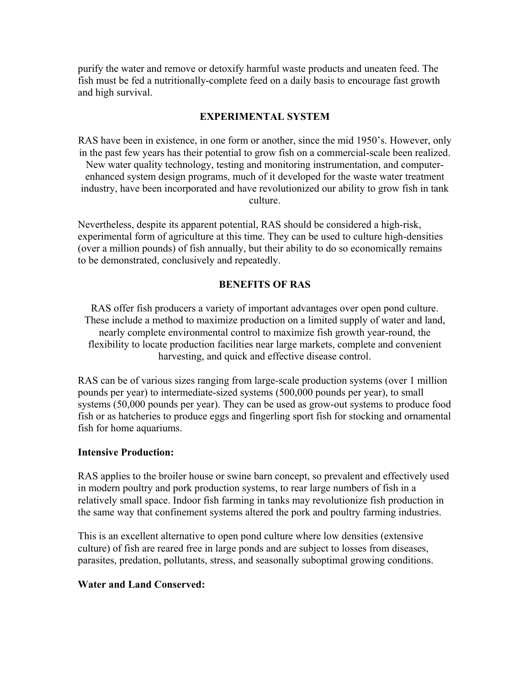purify the water and remove or detoxify harmful waste products and uneaten feed. The fish must be fed a nutritionally-complete feed on a daily basis to encourage fast growth and high survival.

#### **EXPERIMENTAL SYSTEM**

RAS have been in existence, in one form or another, since the mid 1950's. However, only in the past few years has their potential to grow fish on a commercial-scale been realized. New water quality technology, testing and monitoring instrumentation, and computerenhanced system design programs, much of it developed for the waste water treatment industry, have been incorporated and have revolutionized our ability to grow fish in tank culture.

Nevertheless, despite its apparent potential, RAS should be considered a high-risk, experimental form of agriculture at this time. They can be used to culture high-densities (over a million pounds) of fish annually, but their ability to do so economically remains to be demonstrated, conclusively and repeatedly.

#### **BENEFITS OF RAS**

RAS offer fish producers a variety of important advantages over open pond culture. These include a method to maximize production on a limited supply of water and land, nearly complete environmental control to maximize fish growth year-round, the flexibility to locate production facilities near large markets, complete and convenient harvesting, and quick and effective disease control.

RAS can be of various sizes ranging from large-scale production systems (over 1 million pounds per year) to intermediate-sized systems (500,000 pounds per year), to small systems (50,000 pounds per year). They can be used as grow-out systems to produce food fish or as hatcheries to produce eggs and fingerling sport fish for stocking and ornamental fish for home aquariums.

#### **Intensive Production:**

RAS applies to the broiler house or swine barn concept, so prevalent and effectively used in modern poultry and pork production systems, to rear large numbers of fish in a relatively small space. Indoor fish farming in tanks may revolutionize fish production in the same way that confinement systems altered the pork and poultry farming industries.

This is an excellent alternative to open pond culture where low densities (extensive culture) of fish are reared free in large ponds and are subject to losses from diseases, parasites, predation, pollutants, stress, and seasonally suboptimal growing conditions.

#### **Water and Land Conserved:**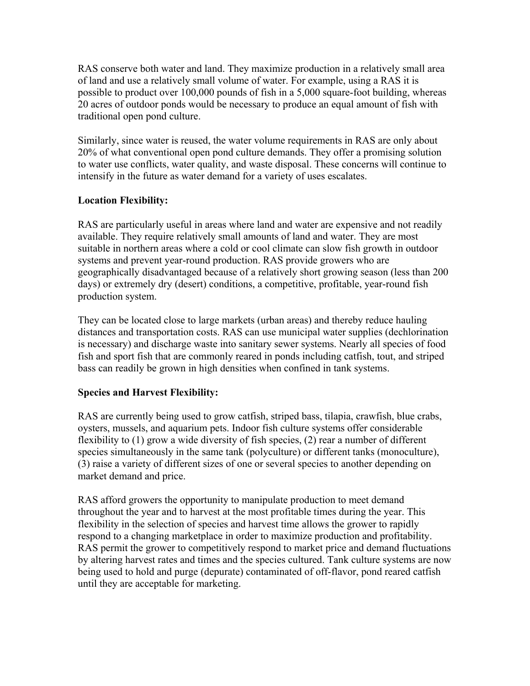RAS conserve both water and land. They maximize production in a relatively small area of land and use a relatively small volume of water. For example, using a RAS it is possible to product over 100,000 pounds of fish in a 5,000 square-foot building, whereas 20 acres of outdoor ponds would be necessary to produce an equal amount of fish with traditional open pond culture.

Similarly, since water is reused, the water volume requirements in RAS are only about 20% of what conventional open pond culture demands. They offer a promising solution to water use conflicts, water quality, and waste disposal. These concerns will continue to intensify in the future as water demand for a variety of uses escalates.

# **Location Flexibility:**

RAS are particularly useful in areas where land and water are expensive and not readily available. They require relatively small amounts of land and water. They are most suitable in northern areas where a cold or cool climate can slow fish growth in outdoor systems and prevent year-round production. RAS provide growers who are geographically disadvantaged because of a relatively short growing season (less than 200 days) or extremely dry (desert) conditions, a competitive, profitable, year-round fish production system.

They can be located close to large markets (urban areas) and thereby reduce hauling distances and transportation costs. RAS can use municipal water supplies (dechlorination is necessary) and discharge waste into sanitary sewer systems. Nearly all species of food fish and sport fish that are commonly reared in ponds including catfish, tout, and striped bass can readily be grown in high densities when confined in tank systems.

# **Species and Harvest Flexibility:**

RAS are currently being used to grow catfish, striped bass, tilapia, crawfish, blue crabs, oysters, mussels, and aquarium pets. Indoor fish culture systems offer considerable flexibility to (1) grow a wide diversity of fish species, (2) rear a number of different species simultaneously in the same tank (polyculture) or different tanks (monoculture), (3) raise a variety of different sizes of one or several species to another depending on market demand and price.

RAS afford growers the opportunity to manipulate production to meet demand throughout the year and to harvest at the most profitable times during the year. This flexibility in the selection of species and harvest time allows the grower to rapidly respond to a changing marketplace in order to maximize production and profitability. RAS permit the grower to competitively respond to market price and demand fluctuations by altering harvest rates and times and the species cultured. Tank culture systems are now being used to hold and purge (depurate) contaminated of off-flavor, pond reared catfish until they are acceptable for marketing.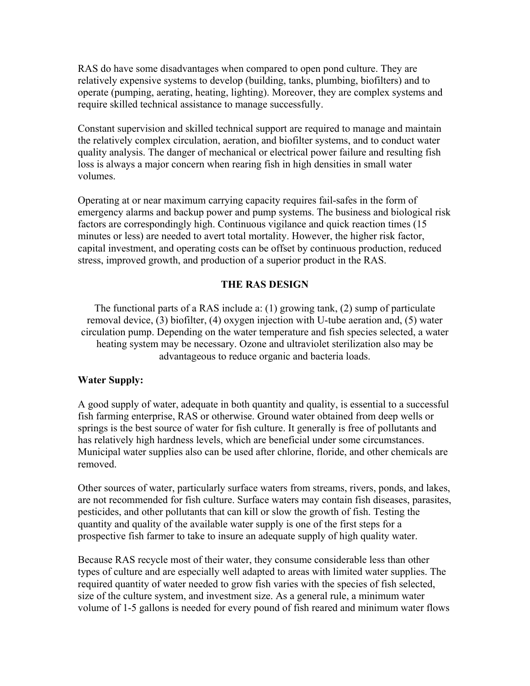RAS do have some disadvantages when compared to open pond culture. They are relatively expensive systems to develop (building, tanks, plumbing, biofilters) and to operate (pumping, aerating, heating, lighting). Moreover, they are complex systems and require skilled technical assistance to manage successfully.

Constant supervision and skilled technical support are required to manage and maintain the relatively complex circulation, aeration, and biofilter systems, and to conduct water quality analysis. The danger of mechanical or electrical power failure and resulting fish loss is always a major concern when rearing fish in high densities in small water volumes.

Operating at or near maximum carrying capacity requires fail-safes in the form of emergency alarms and backup power and pump systems. The business and biological risk factors are correspondingly high. Continuous vigilance and quick reaction times (15 minutes or less) are needed to avert total mortality. However, the higher risk factor, capital investment, and operating costs can be offset by continuous production, reduced stress, improved growth, and production of a superior product in the RAS.

#### **THE RAS DESIGN**

The functional parts of a RAS include a: (1) growing tank, (2) sump of particulate removal device, (3) biofilter, (4) oxygen injection with U-tube aeration and, (5) water circulation pump. Depending on the water temperature and fish species selected, a water heating system may be necessary. Ozone and ultraviolet sterilization also may be advantageous to reduce organic and bacteria loads.

#### **Water Supply:**

A good supply of water, adequate in both quantity and quality, is essential to a successful fish farming enterprise, RAS or otherwise. Ground water obtained from deep wells or springs is the best source of water for fish culture. It generally is free of pollutants and has relatively high hardness levels, which are beneficial under some circumstances. Municipal water supplies also can be used after chlorine, floride, and other chemicals are removed.

Other sources of water, particularly surface waters from streams, rivers, ponds, and lakes, are not recommended for fish culture. Surface waters may contain fish diseases, parasites, pesticides, and other pollutants that can kill or slow the growth of fish. Testing the quantity and quality of the available water supply is one of the first steps for a prospective fish farmer to take to insure an adequate supply of high quality water.

Because RAS recycle most of their water, they consume considerable less than other types of culture and are especially well adapted to areas with limited water supplies. The required quantity of water needed to grow fish varies with the species of fish selected, size of the culture system, and investment size. As a general rule, a minimum water volume of 1-5 gallons is needed for every pound of fish reared and minimum water flows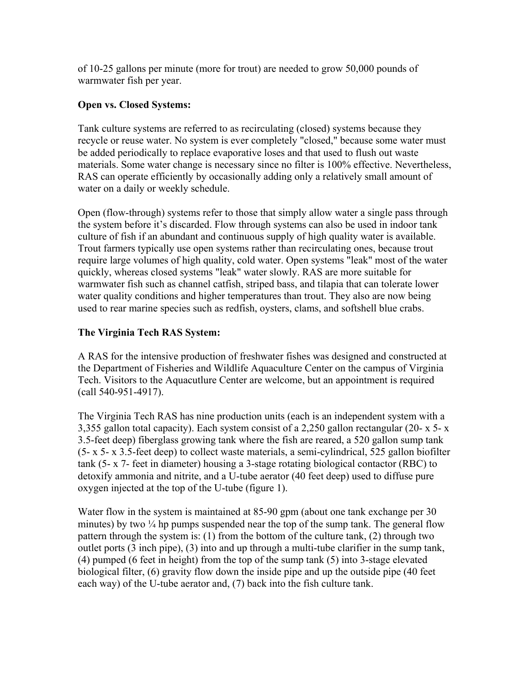of 10-25 gallons per minute (more for trout) are needed to grow 50,000 pounds of warmwater fish per year.

#### **Open vs. Closed Systems:**

Tank culture systems are referred to as recirculating (closed) systems because they recycle or reuse water. No system is ever completely "closed," because some water must be added periodically to replace evaporative loses and that used to flush out waste materials. Some water change is necessary since no filter is 100% effective. Nevertheless, RAS can operate efficiently by occasionally adding only a relatively small amount of water on a daily or weekly schedule.

Open (flow-through) systems refer to those that simply allow water a single pass through the system before it's discarded. Flow through systems can also be used in indoor tank culture of fish if an abundant and continuous supply of high quality water is available. Trout farmers typically use open systems rather than recirculating ones, because trout require large volumes of high quality, cold water. Open systems "leak" most of the water quickly, whereas closed systems "leak" water slowly. RAS are more suitable for warmwater fish such as channel catfish, striped bass, and tilapia that can tolerate lower water quality conditions and higher temperatures than trout. They also are now being used to rear marine species such as redfish, oysters, clams, and softshell blue crabs.

## **The Virginia Tech RAS System:**

A RAS for the intensive production of freshwater fishes was designed and constructed at the Department of Fisheries and Wildlife Aquaculture Center on the campus of Virginia Tech. Visitors to the Aquacutlure Center are welcome, but an appointment is required (call 540-951-4917).

The Virginia Tech RAS has nine production units (each is an independent system with a 3,355 gallon total capacity). Each system consist of a 2,250 gallon rectangular (20- x 5- x 3.5-feet deep) fiberglass growing tank where the fish are reared, a 520 gallon sump tank (5- x 5- x 3.5-feet deep) to collect waste materials, a semi-cylindrical, 525 gallon biofilter tank (5- x 7- feet in diameter) housing a 3-stage rotating biological contactor (RBC) to detoxify ammonia and nitrite, and a U-tube aerator (40 feet deep) used to diffuse pure oxygen injected at the top of the U-tube (figure 1).

Water flow in the system is maintained at 85-90 gpm (about one tank exchange per 30 minutes) by two  $\frac{1}{4}$  hp pumps suspended near the top of the sump tank. The general flow pattern through the system is: (1) from the bottom of the culture tank, (2) through two outlet ports (3 inch pipe), (3) into and up through a multi-tube clarifier in the sump tank, (4) pumped (6 feet in height) from the top of the sump tank (5) into 3-stage elevated biological filter, (6) gravity flow down the inside pipe and up the outside pipe (40 feet each way) of the U-tube aerator and, (7) back into the fish culture tank.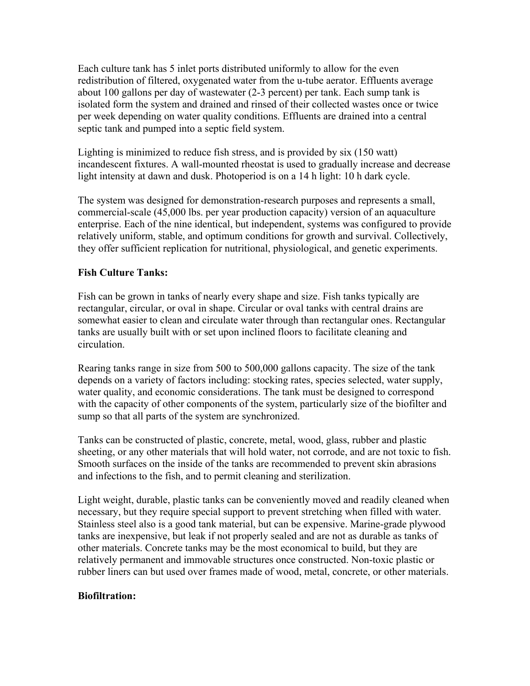Each culture tank has 5 inlet ports distributed uniformly to allow for the even redistribution of filtered, oxygenated water from the u-tube aerator. Effluents average about 100 gallons per day of wastewater (2-3 percent) per tank. Each sump tank is isolated form the system and drained and rinsed of their collected wastes once or twice per week depending on water quality conditions. Effluents are drained into a central septic tank and pumped into a septic field system.

Lighting is minimized to reduce fish stress, and is provided by six (150 watt) incandescent fixtures. A wall-mounted rheostat is used to gradually increase and decrease light intensity at dawn and dusk. Photoperiod is on a 14 h light: 10 h dark cycle.

The system was designed for demonstration-research purposes and represents a small, commercial-scale (45,000 lbs. per year production capacity) version of an aquaculture enterprise. Each of the nine identical, but independent, systems was configured to provide relatively uniform, stable, and optimum conditions for growth and survival. Collectively, they offer sufficient replication for nutritional, physiological, and genetic experiments.

#### **Fish Culture Tanks:**

Fish can be grown in tanks of nearly every shape and size. Fish tanks typically are rectangular, circular, or oval in shape. Circular or oval tanks with central drains are somewhat easier to clean and circulate water through than rectangular ones. Rectangular tanks are usually built with or set upon inclined floors to facilitate cleaning and circulation.

Rearing tanks range in size from 500 to 500,000 gallons capacity. The size of the tank depends on a variety of factors including: stocking rates, species selected, water supply, water quality, and economic considerations. The tank must be designed to correspond with the capacity of other components of the system, particularly size of the biofilter and sump so that all parts of the system are synchronized.

Tanks can be constructed of plastic, concrete, metal, wood, glass, rubber and plastic sheeting, or any other materials that will hold water, not corrode, and are not toxic to fish. Smooth surfaces on the inside of the tanks are recommended to prevent skin abrasions and infections to the fish, and to permit cleaning and sterilization.

Light weight, durable, plastic tanks can be conveniently moved and readily cleaned when necessary, but they require special support to prevent stretching when filled with water. Stainless steel also is a good tank material, but can be expensive. Marine-grade plywood tanks are inexpensive, but leak if not properly sealed and are not as durable as tanks of other materials. Concrete tanks may be the most economical to build, but they are relatively permanent and immovable structures once constructed. Non-toxic plastic or rubber liners can but used over frames made of wood, metal, concrete, or other materials.

#### **Biofiltration:**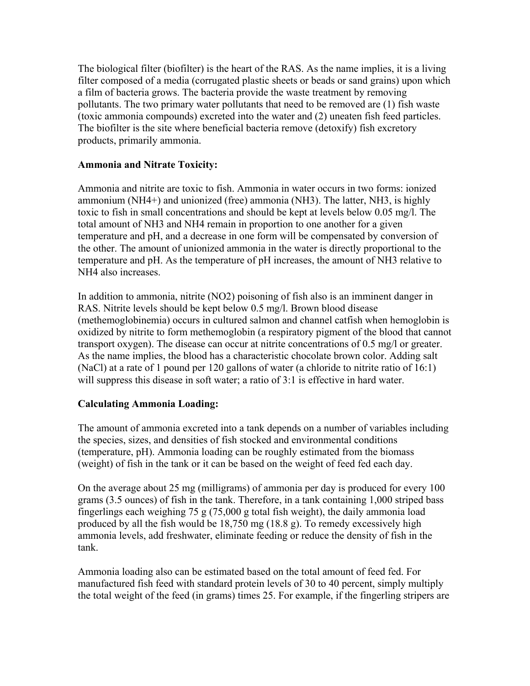The biological filter (biofilter) is the heart of the RAS. As the name implies, it is a living filter composed of a media (corrugated plastic sheets or beads or sand grains) upon which a film of bacteria grows. The bacteria provide the waste treatment by removing pollutants. The two primary water pollutants that need to be removed are (1) fish waste (toxic ammonia compounds) excreted into the water and (2) uneaten fish feed particles. The biofilter is the site where beneficial bacteria remove (detoxify) fish excretory products, primarily ammonia.

## **Ammonia and Nitrate Toxicity:**

Ammonia and nitrite are toxic to fish. Ammonia in water occurs in two forms: ionized ammonium (NH4+) and unionized (free) ammonia (NH3). The latter, NH3, is highly toxic to fish in small concentrations and should be kept at levels below 0.05 mg/l. The total amount of NH3 and NH4 remain in proportion to one another for a given temperature and pH, and a decrease in one form will be compensated by conversion of the other. The amount of unionized ammonia in the water is directly proportional to the temperature and pH. As the temperature of pH increases, the amount of NH3 relative to NH4 also increases.

In addition to ammonia, nitrite (NO2) poisoning of fish also is an imminent danger in RAS. Nitrite levels should be kept below 0.5 mg/l. Brown blood disease (methemoglobinemia) occurs in cultured salmon and channel catfish when hemoglobin is oxidized by nitrite to form methemoglobin (a respiratory pigment of the blood that cannot transport oxygen). The disease can occur at nitrite concentrations of 0.5 mg/l or greater. As the name implies, the blood has a characteristic chocolate brown color. Adding salt (NaCl) at a rate of 1 pound per 120 gallons of water (a chloride to nitrite ratio of 16:1) will suppress this disease in soft water; a ratio of 3:1 is effective in hard water.

# **Calculating Ammonia Loading:**

The amount of ammonia excreted into a tank depends on a number of variables including the species, sizes, and densities of fish stocked and environmental conditions (temperature, pH). Ammonia loading can be roughly estimated from the biomass (weight) of fish in the tank or it can be based on the weight of feed fed each day.

On the average about 25 mg (milligrams) of ammonia per day is produced for every 100 grams (3.5 ounces) of fish in the tank. Therefore, in a tank containing 1,000 striped bass fingerlings each weighing 75 g (75,000 g total fish weight), the daily ammonia load produced by all the fish would be 18,750 mg (18.8 g). To remedy excessively high ammonia levels, add freshwater, eliminate feeding or reduce the density of fish in the tank.

Ammonia loading also can be estimated based on the total amount of feed fed. For manufactured fish feed with standard protein levels of 30 to 40 percent, simply multiply the total weight of the feed (in grams) times 25. For example, if the fingerling stripers are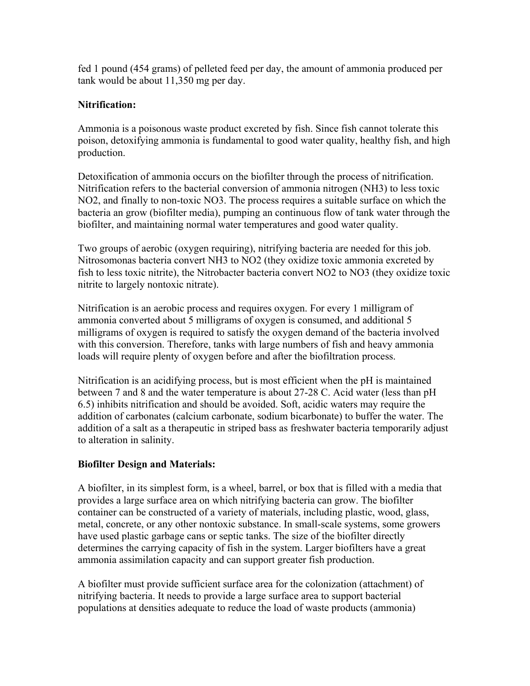fed 1 pound (454 grams) of pelleted feed per day, the amount of ammonia produced per tank would be about 11,350 mg per day.

## **Nitrification:**

Ammonia is a poisonous waste product excreted by fish. Since fish cannot tolerate this poison, detoxifying ammonia is fundamental to good water quality, healthy fish, and high production.

Detoxification of ammonia occurs on the biofilter through the process of nitrification. Nitrification refers to the bacterial conversion of ammonia nitrogen (NH3) to less toxic NO2, and finally to non-toxic NO3. The process requires a suitable surface on which the bacteria an grow (biofilter media), pumping an continuous flow of tank water through the biofilter, and maintaining normal water temperatures and good water quality.

Two groups of aerobic (oxygen requiring), nitrifying bacteria are needed for this job. Nitrosomonas bacteria convert NH3 to NO2 (they oxidize toxic ammonia excreted by fish to less toxic nitrite), the Nitrobacter bacteria convert NO2 to NO3 (they oxidize toxic nitrite to largely nontoxic nitrate).

Nitrification is an aerobic process and requires oxygen. For every 1 milligram of ammonia converted about 5 milligrams of oxygen is consumed, and additional 5 milligrams of oxygen is required to satisfy the oxygen demand of the bacteria involved with this conversion. Therefore, tanks with large numbers of fish and heavy ammonia loads will require plenty of oxygen before and after the biofiltration process.

Nitrification is an acidifying process, but is most efficient when the pH is maintained between 7 and 8 and the water temperature is about 27-28 C. Acid water (less than pH 6.5) inhibits nitrification and should be avoided. Soft, acidic waters may require the addition of carbonates (calcium carbonate, sodium bicarbonate) to buffer the water. The addition of a salt as a therapeutic in striped bass as freshwater bacteria temporarily adjust to alteration in salinity.

# **Biofilter Design and Materials:**

A biofilter, in its simplest form, is a wheel, barrel, or box that is filled with a media that provides a large surface area on which nitrifying bacteria can grow. The biofilter container can be constructed of a variety of materials, including plastic, wood, glass, metal, concrete, or any other nontoxic substance. In small-scale systems, some growers have used plastic garbage cans or septic tanks. The size of the biofilter directly determines the carrying capacity of fish in the system. Larger biofilters have a great ammonia assimilation capacity and can support greater fish production.

A biofilter must provide sufficient surface area for the colonization (attachment) of nitrifying bacteria. It needs to provide a large surface area to support bacterial populations at densities adequate to reduce the load of waste products (ammonia)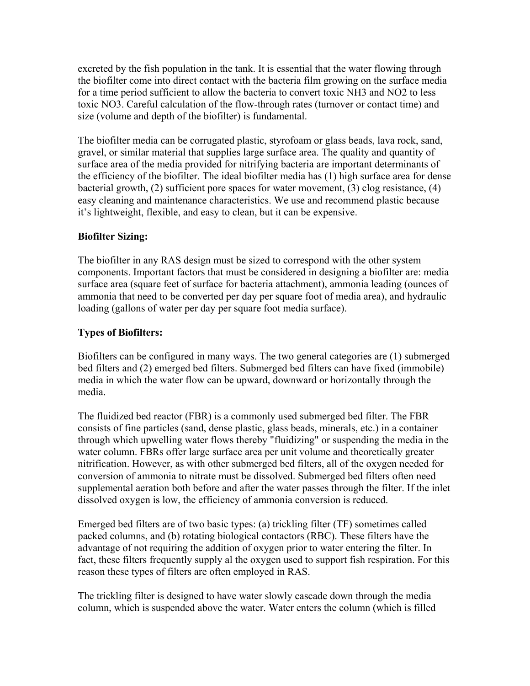excreted by the fish population in the tank. It is essential that the water flowing through the biofilter come into direct contact with the bacteria film growing on the surface media for a time period sufficient to allow the bacteria to convert toxic NH3 and NO2 to less toxic NO3. Careful calculation of the flow-through rates (turnover or contact time) and size (volume and depth of the biofilter) is fundamental.

The biofilter media can be corrugated plastic, styrofoam or glass beads, lava rock, sand, gravel, or similar material that supplies large surface area. The quality and quantity of surface area of the media provided for nitrifying bacteria are important determinants of the efficiency of the biofilter. The ideal biofilter media has (1) high surface area for dense bacterial growth, (2) sufficient pore spaces for water movement, (3) clog resistance, (4) easy cleaning and maintenance characteristics. We use and recommend plastic because it's lightweight, flexible, and easy to clean, but it can be expensive.

# **Biofilter Sizing:**

The biofilter in any RAS design must be sized to correspond with the other system components. Important factors that must be considered in designing a biofilter are: media surface area (square feet of surface for bacteria attachment), ammonia leading (ounces of ammonia that need to be converted per day per square foot of media area), and hydraulic loading (gallons of water per day per square foot media surface).

# **Types of Biofilters:**

Biofilters can be configured in many ways. The two general categories are (1) submerged bed filters and (2) emerged bed filters. Submerged bed filters can have fixed (immobile) media in which the water flow can be upward, downward or horizontally through the media.

The fluidized bed reactor (FBR) is a commonly used submerged bed filter. The FBR consists of fine particles (sand, dense plastic, glass beads, minerals, etc.) in a container through which upwelling water flows thereby "fluidizing" or suspending the media in the water column. FBRs offer large surface area per unit volume and theoretically greater nitrification. However, as with other submerged bed filters, all of the oxygen needed for conversion of ammonia to nitrate must be dissolved. Submerged bed filters often need supplemental aeration both before and after the water passes through the filter. If the inlet dissolved oxygen is low, the efficiency of ammonia conversion is reduced.

Emerged bed filters are of two basic types: (a) trickling filter (TF) sometimes called packed columns, and (b) rotating biological contactors (RBC). These filters have the advantage of not requiring the addition of oxygen prior to water entering the filter. In fact, these filters frequently supply al the oxygen used to support fish respiration. For this reason these types of filters are often employed in RAS.

The trickling filter is designed to have water slowly cascade down through the media column, which is suspended above the water. Water enters the column (which is filled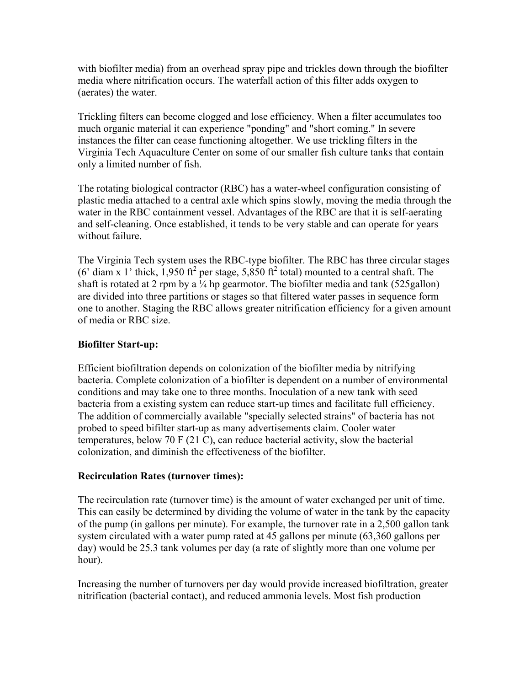with biofilter media) from an overhead spray pipe and trickles down through the biofilter media where nitrification occurs. The waterfall action of this filter adds oxygen to (aerates) the water.

Trickling filters can become clogged and lose efficiency. When a filter accumulates too much organic material it can experience "ponding" and "short coming." In severe instances the filter can cease functioning altogether. We use trickling filters in the Virginia Tech Aquaculture Center on some of our smaller fish culture tanks that contain only a limited number of fish.

The rotating biological contractor (RBC) has a water-wheel configuration consisting of plastic media attached to a central axle which spins slowly, moving the media through the water in the RBC containment vessel. Advantages of the RBC are that it is self-aerating and self-cleaning. Once established, it tends to be very stable and can operate for years without failure.

The Virginia Tech system uses the RBC-type biofilter. The RBC has three circular stages (6' diam x 1' thick, 1,950 ft<sup>2</sup> per stage, 5,850 ft<sup>2</sup> total) mounted to a central shaft. The shaft is rotated at 2 rpm by a  $\frac{1}{4}$  hp gearmotor. The biofilter media and tank (525 gallon) are divided into three partitions or stages so that filtered water passes in sequence form one to another. Staging the RBC allows greater nitrification efficiency for a given amount of media or RBC size.

## **Biofilter Start-up:**

Efficient biofiltration depends on colonization of the biofilter media by nitrifying bacteria. Complete colonization of a biofilter is dependent on a number of environmental conditions and may take one to three months. Inoculation of a new tank with seed bacteria from a existing system can reduce start-up times and facilitate full efficiency. The addition of commercially available "specially selected strains" of bacteria has not probed to speed bifilter start-up as many advertisements claim. Cooler water temperatures, below 70 F (21 C), can reduce bacterial activity, slow the bacterial colonization, and diminish the effectiveness of the biofilter.

## **Recirculation Rates (turnover times):**

The recirculation rate (turnover time) is the amount of water exchanged per unit of time. This can easily be determined by dividing the volume of water in the tank by the capacity of the pump (in gallons per minute). For example, the turnover rate in a 2,500 gallon tank system circulated with a water pump rated at 45 gallons per minute (63,360 gallons per day) would be 25.3 tank volumes per day (a rate of slightly more than one volume per hour).

Increasing the number of turnovers per day would provide increased biofiltration, greater nitrification (bacterial contact), and reduced ammonia levels. Most fish production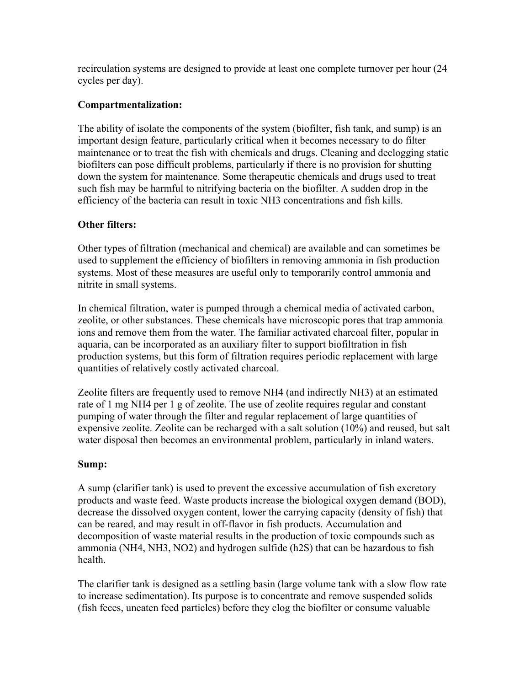recirculation systems are designed to provide at least one complete turnover per hour (24 cycles per day).

## **Compartmentalization:**

The ability of isolate the components of the system (biofilter, fish tank, and sump) is an important design feature, particularly critical when it becomes necessary to do filter maintenance or to treat the fish with chemicals and drugs. Cleaning and declogging static biofilters can pose difficult problems, particularly if there is no provision for shutting down the system for maintenance. Some therapeutic chemicals and drugs used to treat such fish may be harmful to nitrifying bacteria on the biofilter. A sudden drop in the efficiency of the bacteria can result in toxic NH3 concentrations and fish kills.

# **Other filters:**

Other types of filtration (mechanical and chemical) are available and can sometimes be used to supplement the efficiency of biofilters in removing ammonia in fish production systems. Most of these measures are useful only to temporarily control ammonia and nitrite in small systems.

In chemical filtration, water is pumped through a chemical media of activated carbon, zeolite, or other substances. These chemicals have microscopic pores that trap ammonia ions and remove them from the water. The familiar activated charcoal filter, popular in aquaria, can be incorporated as an auxiliary filter to support biofiltration in fish production systems, but this form of filtration requires periodic replacement with large quantities of relatively costly activated charcoal.

Zeolite filters are frequently used to remove NH4 (and indirectly NH3) at an estimated rate of 1 mg NH4 per 1 g of zeolite. The use of zeolite requires regular and constant pumping of water through the filter and regular replacement of large quantities of expensive zeolite. Zeolite can be recharged with a salt solution (10%) and reused, but salt water disposal then becomes an environmental problem, particularly in inland waters.

## **Sump:**

A sump (clarifier tank) is used to prevent the excessive accumulation of fish excretory products and waste feed. Waste products increase the biological oxygen demand (BOD), decrease the dissolved oxygen content, lower the carrying capacity (density of fish) that can be reared, and may result in off-flavor in fish products. Accumulation and decomposition of waste material results in the production of toxic compounds such as ammonia (NH4, NH3, NO2) and hydrogen sulfide (h2S) that can be hazardous to fish health.

The clarifier tank is designed as a settling basin (large volume tank with a slow flow rate to increase sedimentation). Its purpose is to concentrate and remove suspended solids (fish feces, uneaten feed particles) before they clog the biofilter or consume valuable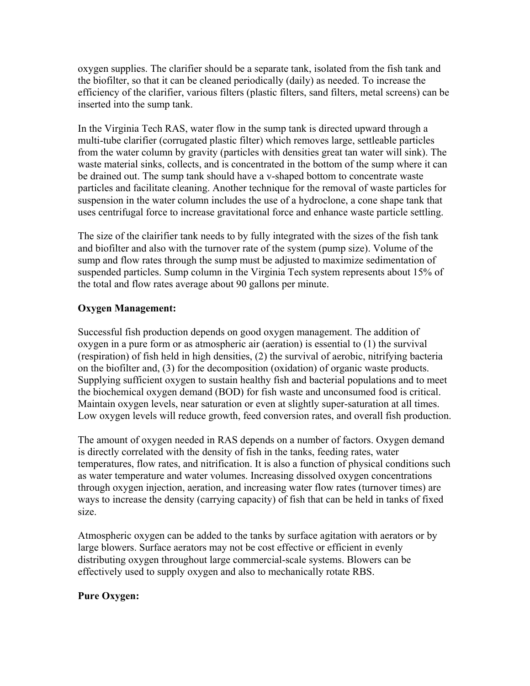oxygen supplies. The clarifier should be a separate tank, isolated from the fish tank and the biofilter, so that it can be cleaned periodically (daily) as needed. To increase the efficiency of the clarifier, various filters (plastic filters, sand filters, metal screens) can be inserted into the sump tank.

In the Virginia Tech RAS, water flow in the sump tank is directed upward through a multi-tube clarifier (corrugated plastic filter) which removes large, settleable particles from the water column by gravity (particles with densities great tan water will sink). The waste material sinks, collects, and is concentrated in the bottom of the sump where it can be drained out. The sump tank should have a v-shaped bottom to concentrate waste particles and facilitate cleaning. Another technique for the removal of waste particles for suspension in the water column includes the use of a hydroclone, a cone shape tank that uses centrifugal force to increase gravitational force and enhance waste particle settling.

The size of the clairifier tank needs to by fully integrated with the sizes of the fish tank and biofilter and also with the turnover rate of the system (pump size). Volume of the sump and flow rates through the sump must be adjusted to maximize sedimentation of suspended particles. Sump column in the Virginia Tech system represents about 15% of the total and flow rates average about 90 gallons per minute.

## **Oxygen Management:**

Successful fish production depends on good oxygen management. The addition of oxygen in a pure form or as atmospheric air (aeration) is essential to (1) the survival (respiration) of fish held in high densities, (2) the survival of aerobic, nitrifying bacteria on the biofilter and, (3) for the decomposition (oxidation) of organic waste products. Supplying sufficient oxygen to sustain healthy fish and bacterial populations and to meet the biochemical oxygen demand (BOD) for fish waste and unconsumed food is critical. Maintain oxygen levels, near saturation or even at slightly super-saturation at all times. Low oxygen levels will reduce growth, feed conversion rates, and overall fish production.

The amount of oxygen needed in RAS depends on a number of factors. Oxygen demand is directly correlated with the density of fish in the tanks, feeding rates, water temperatures, flow rates, and nitrification. It is also a function of physical conditions such as water temperature and water volumes. Increasing dissolved oxygen concentrations through oxygen injection, aeration, and increasing water flow rates (turnover times) are ways to increase the density (carrying capacity) of fish that can be held in tanks of fixed size.

Atmospheric oxygen can be added to the tanks by surface agitation with aerators or by large blowers. Surface aerators may not be cost effective or efficient in evenly distributing oxygen throughout large commercial-scale systems. Blowers can be effectively used to supply oxygen and also to mechanically rotate RBS.

## **Pure Oxygen:**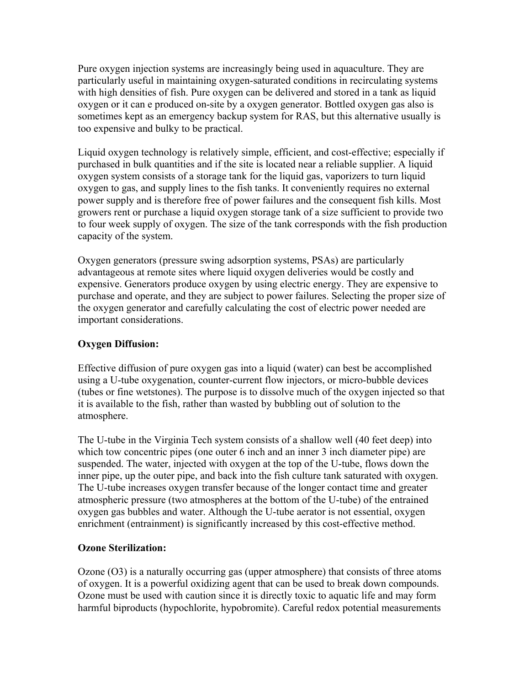Pure oxygen injection systems are increasingly being used in aquaculture. They are particularly useful in maintaining oxygen-saturated conditions in recirculating systems with high densities of fish. Pure oxygen can be delivered and stored in a tank as liquid oxygen or it can e produced on-site by a oxygen generator. Bottled oxygen gas also is sometimes kept as an emergency backup system for RAS, but this alternative usually is too expensive and bulky to be practical.

Liquid oxygen technology is relatively simple, efficient, and cost-effective; especially if purchased in bulk quantities and if the site is located near a reliable supplier. A liquid oxygen system consists of a storage tank for the liquid gas, vaporizers to turn liquid oxygen to gas, and supply lines to the fish tanks. It conveniently requires no external power supply and is therefore free of power failures and the consequent fish kills. Most growers rent or purchase a liquid oxygen storage tank of a size sufficient to provide two to four week supply of oxygen. The size of the tank corresponds with the fish production capacity of the system.

Oxygen generators (pressure swing adsorption systems, PSAs) are particularly advantageous at remote sites where liquid oxygen deliveries would be costly and expensive. Generators produce oxygen by using electric energy. They are expensive to purchase and operate, and they are subject to power failures. Selecting the proper size of the oxygen generator and carefully calculating the cost of electric power needed are important considerations.

## **Oxygen Diffusion:**

Effective diffusion of pure oxygen gas into a liquid (water) can best be accomplished using a U-tube oxygenation, counter-current flow injectors, or micro-bubble devices (tubes or fine wetstones). The purpose is to dissolve much of the oxygen injected so that it is available to the fish, rather than wasted by bubbling out of solution to the atmosphere.

The U-tube in the Virginia Tech system consists of a shallow well (40 feet deep) into which tow concentric pipes (one outer 6 inch and an inner 3 inch diameter pipe) are suspended. The water, injected with oxygen at the top of the U-tube, flows down the inner pipe, up the outer pipe, and back into the fish culture tank saturated with oxygen. The U-tube increases oxygen transfer because of the longer contact time and greater atmospheric pressure (two atmospheres at the bottom of the U-tube) of the entrained oxygen gas bubbles and water. Although the U-tube aerator is not essential, oxygen enrichment (entrainment) is significantly increased by this cost-effective method.

## **Ozone Sterilization:**

Ozone (O3) is a naturally occurring gas (upper atmosphere) that consists of three atoms of oxygen. It is a powerful oxidizing agent that can be used to break down compounds. Ozone must be used with caution since it is directly toxic to aquatic life and may form harmful biproducts (hypochlorite, hypobromite). Careful redox potential measurements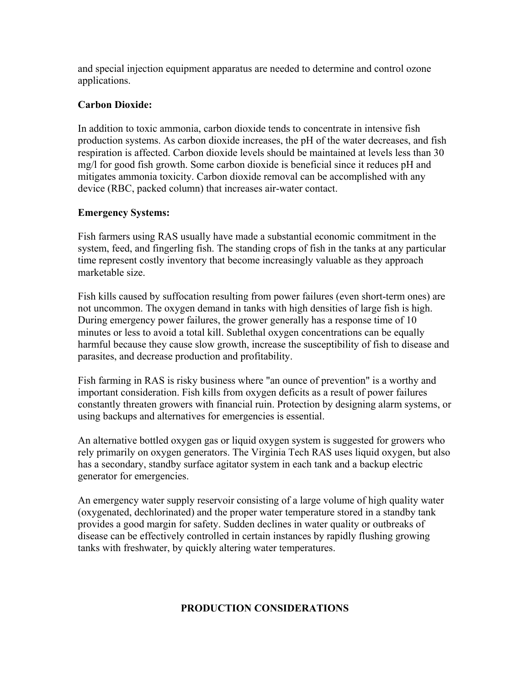and special injection equipment apparatus are needed to determine and control ozone applications.

## **Carbon Dioxide:**

In addition to toxic ammonia, carbon dioxide tends to concentrate in intensive fish production systems. As carbon dioxide increases, the pH of the water decreases, and fish respiration is affected. Carbon dioxide levels should be maintained at levels less than 30 mg/l for good fish growth. Some carbon dioxide is beneficial since it reduces pH and mitigates ammonia toxicity. Carbon dioxide removal can be accomplished with any device (RBC, packed column) that increases air-water contact.

#### **Emergency Systems:**

Fish farmers using RAS usually have made a substantial economic commitment in the system, feed, and fingerling fish. The standing crops of fish in the tanks at any particular time represent costly inventory that become increasingly valuable as they approach marketable size.

Fish kills caused by suffocation resulting from power failures (even short-term ones) are not uncommon. The oxygen demand in tanks with high densities of large fish is high. During emergency power failures, the grower generally has a response time of 10 minutes or less to avoid a total kill. Sublethal oxygen concentrations can be equally harmful because they cause slow growth, increase the susceptibility of fish to disease and parasites, and decrease production and profitability.

Fish farming in RAS is risky business where "an ounce of prevention" is a worthy and important consideration. Fish kills from oxygen deficits as a result of power failures constantly threaten growers with financial ruin. Protection by designing alarm systems, or using backups and alternatives for emergencies is essential.

An alternative bottled oxygen gas or liquid oxygen system is suggested for growers who rely primarily on oxygen generators. The Virginia Tech RAS uses liquid oxygen, but also has a secondary, standby surface agitator system in each tank and a backup electric generator for emergencies.

An emergency water supply reservoir consisting of a large volume of high quality water (oxygenated, dechlorinated) and the proper water temperature stored in a standby tank provides a good margin for safety. Sudden declines in water quality or outbreaks of disease can be effectively controlled in certain instances by rapidly flushing growing tanks with freshwater, by quickly altering water temperatures.

## **PRODUCTION CONSIDERATIONS**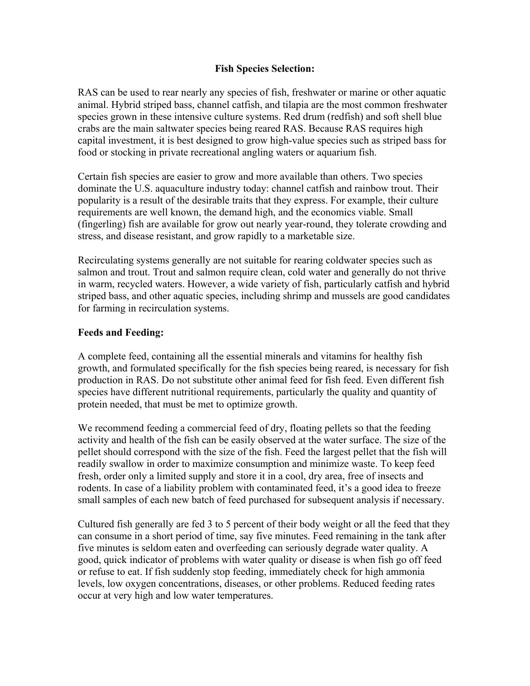#### **Fish Species Selection:**

RAS can be used to rear nearly any species of fish, freshwater or marine or other aquatic animal. Hybrid striped bass, channel catfish, and tilapia are the most common freshwater species grown in these intensive culture systems. Red drum (redfish) and soft shell blue crabs are the main saltwater species being reared RAS. Because RAS requires high capital investment, it is best designed to grow high-value species such as striped bass for food or stocking in private recreational angling waters or aquarium fish.

Certain fish species are easier to grow and more available than others. Two species dominate the U.S. aquaculture industry today: channel catfish and rainbow trout. Their popularity is a result of the desirable traits that they express. For example, their culture requirements are well known, the demand high, and the economics viable. Small (fingerling) fish are available for grow out nearly year-round, they tolerate crowding and stress, and disease resistant, and grow rapidly to a marketable size.

Recirculating systems generally are not suitable for rearing coldwater species such as salmon and trout. Trout and salmon require clean, cold water and generally do not thrive in warm, recycled waters. However, a wide variety of fish, particularly catfish and hybrid striped bass, and other aquatic species, including shrimp and mussels are good candidates for farming in recirculation systems.

#### **Feeds and Feeding:**

A complete feed, containing all the essential minerals and vitamins for healthy fish growth, and formulated specifically for the fish species being reared, is necessary for fish production in RAS. Do not substitute other animal feed for fish feed. Even different fish species have different nutritional requirements, particularly the quality and quantity of protein needed, that must be met to optimize growth.

We recommend feeding a commercial feed of dry, floating pellets so that the feeding activity and health of the fish can be easily observed at the water surface. The size of the pellet should correspond with the size of the fish. Feed the largest pellet that the fish will readily swallow in order to maximize consumption and minimize waste. To keep feed fresh, order only a limited supply and store it in a cool, dry area, free of insects and rodents. In case of a liability problem with contaminated feed, it's a good idea to freeze small samples of each new batch of feed purchased for subsequent analysis if necessary.

Cultured fish generally are fed 3 to 5 percent of their body weight or all the feed that they can consume in a short period of time, say five minutes. Feed remaining in the tank after five minutes is seldom eaten and overfeeding can seriously degrade water quality. A good, quick indicator of problems with water quality or disease is when fish go off feed or refuse to eat. If fish suddenly stop feeding, immediately check for high ammonia levels, low oxygen concentrations, diseases, or other problems. Reduced feeding rates occur at very high and low water temperatures.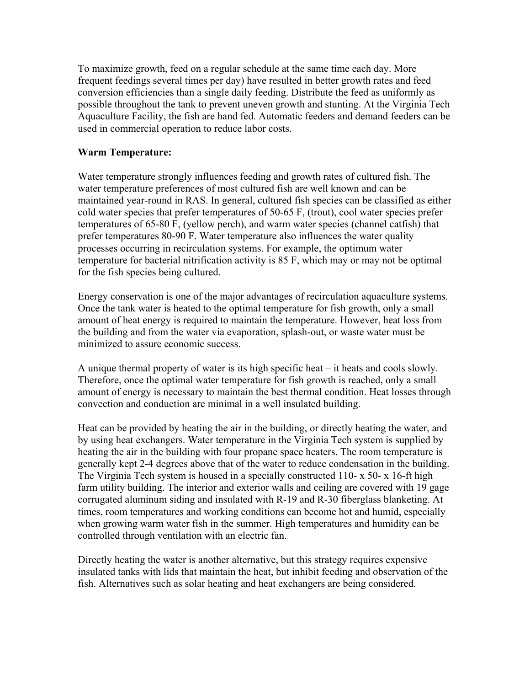To maximize growth, feed on a regular schedule at the same time each day. More frequent feedings several times per day) have resulted in better growth rates and feed conversion efficiencies than a single daily feeding. Distribute the feed as uniformly as possible throughout the tank to prevent uneven growth and stunting. At the Virginia Tech Aquaculture Facility, the fish are hand fed. Automatic feeders and demand feeders can be used in commercial operation to reduce labor costs.

#### **Warm Temperature:**

Water temperature strongly influences feeding and growth rates of cultured fish. The water temperature preferences of most cultured fish are well known and can be maintained year-round in RAS. In general, cultured fish species can be classified as either cold water species that prefer temperatures of 50-65 F, (trout), cool water species prefer temperatures of 65-80 F, (yellow perch), and warm water species (channel catfish) that prefer temperatures 80-90 F. Water temperature also influences the water quality processes occurring in recirculation systems. For example, the optimum water temperature for bacterial nitrification activity is 85 F, which may or may not be optimal for the fish species being cultured.

Energy conservation is one of the major advantages of recirculation aquaculture systems. Once the tank water is heated to the optimal temperature for fish growth, only a small amount of heat energy is required to maintain the temperature. However, heat loss from the building and from the water via evaporation, splash-out, or waste water must be minimized to assure economic success.

A unique thermal property of water is its high specific heat – it heats and cools slowly. Therefore, once the optimal water temperature for fish growth is reached, only a small amount of energy is necessary to maintain the best thermal condition. Heat losses through convection and conduction are minimal in a well insulated building.

Heat can be provided by heating the air in the building, or directly heating the water, and by using heat exchangers. Water temperature in the Virginia Tech system is supplied by heating the air in the building with four propane space heaters. The room temperature is generally kept 2-4 degrees above that of the water to reduce condensation in the building. The Virginia Tech system is housed in a specially constructed 110- x 50- x 16-ft high farm utility building. The interior and exterior walls and ceiling are covered with 19 gage corrugated aluminum siding and insulated with R-19 and R-30 fiberglass blanketing. At times, room temperatures and working conditions can become hot and humid, especially when growing warm water fish in the summer. High temperatures and humidity can be controlled through ventilation with an electric fan.

Directly heating the water is another alternative, but this strategy requires expensive insulated tanks with lids that maintain the heat, but inhibit feeding and observation of the fish. Alternatives such as solar heating and heat exchangers are being considered.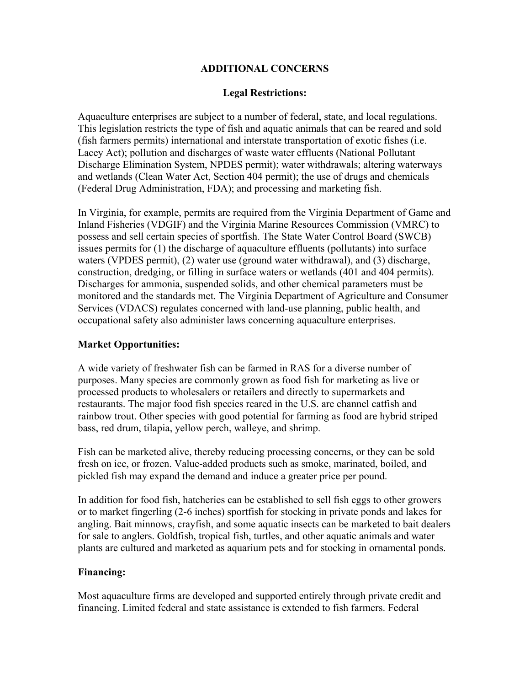## **ADDITIONAL CONCERNS**

#### **Legal Restrictions:**

Aquaculture enterprises are subject to a number of federal, state, and local regulations. This legislation restricts the type of fish and aquatic animals that can be reared and sold (fish farmers permits) international and interstate transportation of exotic fishes (i.e. Lacey Act); pollution and discharges of waste water effluents (National Pollutant Discharge Elimination System, NPDES permit); water withdrawals; altering waterways and wetlands (Clean Water Act, Section 404 permit); the use of drugs and chemicals (Federal Drug Administration, FDA); and processing and marketing fish.

In Virginia, for example, permits are required from the Virginia Department of Game and Inland Fisheries (VDGIF) and the Virginia Marine Resources Commission (VMRC) to possess and sell certain species of sportfish. The State Water Control Board (SWCB) issues permits for (1) the discharge of aquaculture effluents (pollutants) into surface waters (VPDES permit), (2) water use (ground water withdrawal), and (3) discharge, construction, dredging, or filling in surface waters or wetlands (401 and 404 permits). Discharges for ammonia, suspended solids, and other chemical parameters must be monitored and the standards met. The Virginia Department of Agriculture and Consumer Services (VDACS) regulates concerned with land-use planning, public health, and occupational safety also administer laws concerning aquaculture enterprises.

#### **Market Opportunities:**

A wide variety of freshwater fish can be farmed in RAS for a diverse number of purposes. Many species are commonly grown as food fish for marketing as live or processed products to wholesalers or retailers and directly to supermarkets and restaurants. The major food fish species reared in the U.S. are channel catfish and rainbow trout. Other species with good potential for farming as food are hybrid striped bass, red drum, tilapia, yellow perch, walleye, and shrimp.

Fish can be marketed alive, thereby reducing processing concerns, or they can be sold fresh on ice, or frozen. Value-added products such as smoke, marinated, boiled, and pickled fish may expand the demand and induce a greater price per pound.

In addition for food fish, hatcheries can be established to sell fish eggs to other growers or to market fingerling (2-6 inches) sportfish for stocking in private ponds and lakes for angling. Bait minnows, crayfish, and some aquatic insects can be marketed to bait dealers for sale to anglers. Goldfish, tropical fish, turtles, and other aquatic animals and water plants are cultured and marketed as aquarium pets and for stocking in ornamental ponds.

#### **Financing:**

Most aquaculture firms are developed and supported entirely through private credit and financing. Limited federal and state assistance is extended to fish farmers. Federal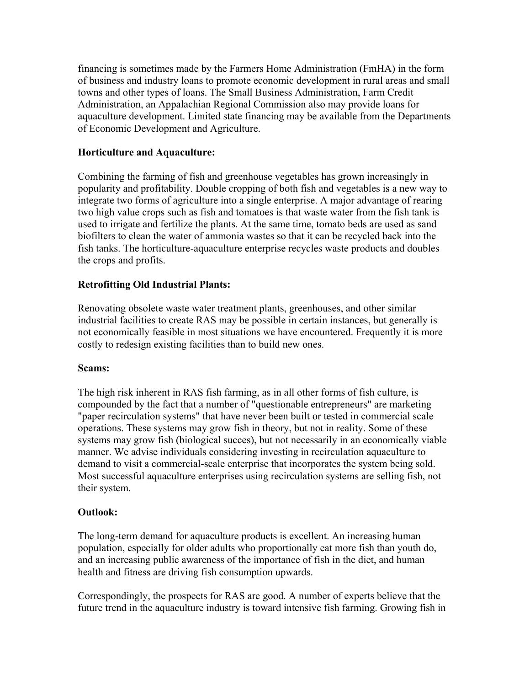financing is sometimes made by the Farmers Home Administration (FmHA) in the form of business and industry loans to promote economic development in rural areas and small towns and other types of loans. The Small Business Administration, Farm Credit Administration, an Appalachian Regional Commission also may provide loans for aquaculture development. Limited state financing may be available from the Departments of Economic Development and Agriculture.

## **Horticulture and Aquaculture:**

Combining the farming of fish and greenhouse vegetables has grown increasingly in popularity and profitability. Double cropping of both fish and vegetables is a new way to integrate two forms of agriculture into a single enterprise. A major advantage of rearing two high value crops such as fish and tomatoes is that waste water from the fish tank is used to irrigate and fertilize the plants. At the same time, tomato beds are used as sand biofilters to clean the water of ammonia wastes so that it can be recycled back into the fish tanks. The horticulture-aquaculture enterprise recycles waste products and doubles the crops and profits.

## **Retrofitting Old Industrial Plants:**

Renovating obsolete waste water treatment plants, greenhouses, and other similar industrial facilities to create RAS may be possible in certain instances, but generally is not economically feasible in most situations we have encountered. Frequently it is more costly to redesign existing facilities than to build new ones.

## **Scams:**

The high risk inherent in RAS fish farming, as in all other forms of fish culture, is compounded by the fact that a number of "questionable entrepreneurs" are marketing "paper recirculation systems" that have never been built or tested in commercial scale operations. These systems may grow fish in theory, but not in reality. Some of these systems may grow fish (biological succes), but not necessarily in an economically viable manner. We advise individuals considering investing in recirculation aquaculture to demand to visit a commercial-scale enterprise that incorporates the system being sold. Most successful aquaculture enterprises using recirculation systems are selling fish, not their system.

## **Outlook:**

The long-term demand for aquaculture products is excellent. An increasing human population, especially for older adults who proportionally eat more fish than youth do, and an increasing public awareness of the importance of fish in the diet, and human health and fitness are driving fish consumption upwards.

Correspondingly, the prospects for RAS are good. A number of experts believe that the future trend in the aquaculture industry is toward intensive fish farming. Growing fish in